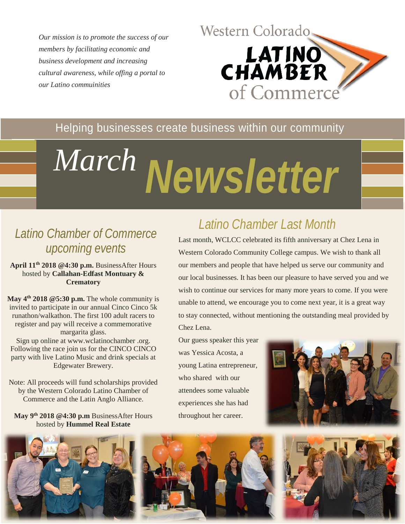*Our mission is to promote the success of our members by facilitating economic and business development and increasing cultural awareness, while offing a portal to our Latino commuinities* 



### Helping businesses create business within our community

# *Newsletter March*



**April 11th 2018 @4:30 p.m.** BusinessAfter Hours hosted by **Callahan-Edfast Montuary & Crematory**

**May 4th 2018 @5:30 p.m.** The whole community is invited to participate in our annual Cinco Cinco 5k runathon/walkathon. The first 100 adult racers to register and pay will receive a commemorative margarita glass.

Sign up online at www.wclatinochamber .org. Following the race join us for the CINCO CINCO party with live Latino Music and drink specials at Edgewater Brewery.

Note: All proceeds will fund scholarships provided by the Western Colorado Latino Chamber of Commerce and the Latin Anglo Alliance.

#### **May 9th 2018 @4:30 p.m** BusinessAfter Hours hosted by **Hummel Real Estate**

## *Latino Chamber Last Month*

Last month, WCLCC celebrated its fifth anniversary at Chez Lena in Western Colorado Community College campus. We wish to thank all our members and people that have helped us serve our community and our local businesses. It has been our pleasure to have served you and we wish to continue our services for many more years to come. If you were unable to attend, we encourage you to come next year, it is a great way to stay connected, without mentioning the outstanding meal provided by Chez Lena.

Our guess speaker this year was Yessica Acosta, a young Latina entrepreneur, who shared with our attendees some valuable experiences she has had throughout her career.